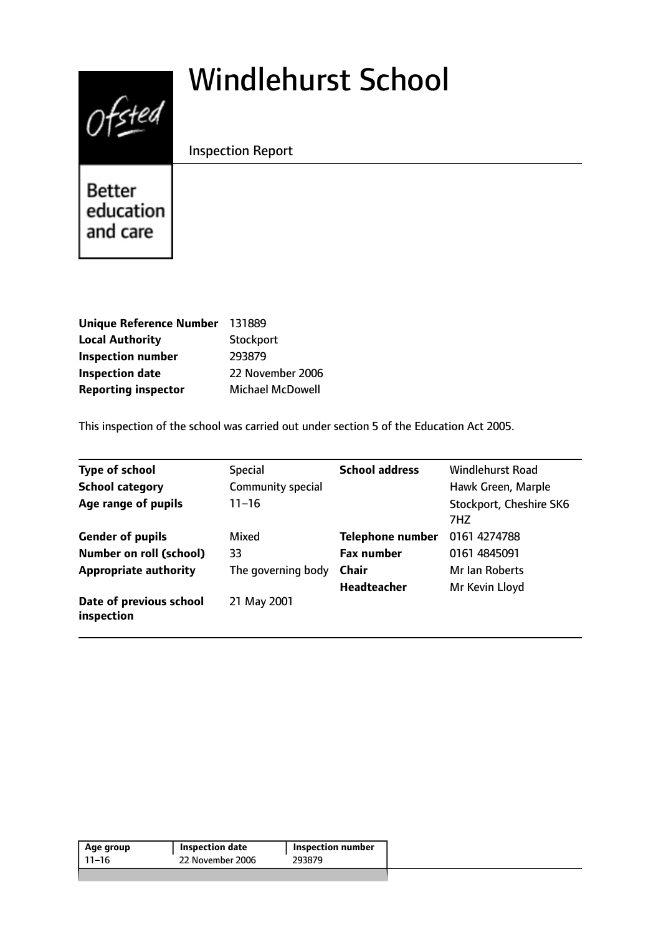# Windlehurst School



Inspection Report

Better education and care

| Unique Reference Number 131889 |                         |
|--------------------------------|-------------------------|
| <b>Local Authority</b>         | Stockport               |
| <b>Inspection number</b>       | 293879                  |
| <b>Inspection date</b>         | 22 November 2006        |
| <b>Reporting inspector</b>     | <b>Michael McDowell</b> |

This inspection of the school was carried out under section 5 of the Education Act 2005.

| <b>Type of school</b>                 | <b>Special</b>     | <b>School address</b>   | Windlehurst Road               |
|---------------------------------------|--------------------|-------------------------|--------------------------------|
| <b>School category</b>                | Community special  |                         | Hawk Green, Marple             |
| Age range of pupils                   | $11 - 16$          |                         | Stockport, Cheshire SK6<br>7HZ |
| <b>Gender of pupils</b>               | Mixed              | <b>Telephone number</b> | 0161 4274788                   |
| <b>Number on roll (school)</b>        | 33                 | <b>Fax number</b>       | 0161 4845091                   |
| <b>Appropriate authority</b>          | The governing body | <b>Chair</b>            | Mr Ian Roberts                 |
|                                       |                    | <b>Headteacher</b>      | Mr Kevin Lloyd                 |
| Date of previous school<br>inspection | 21 May 2001        |                         |                                |

| Age group | Inspection date  | Inspection number |
|-----------|------------------|-------------------|
| 11–16     | 22 November 2006 | 293879            |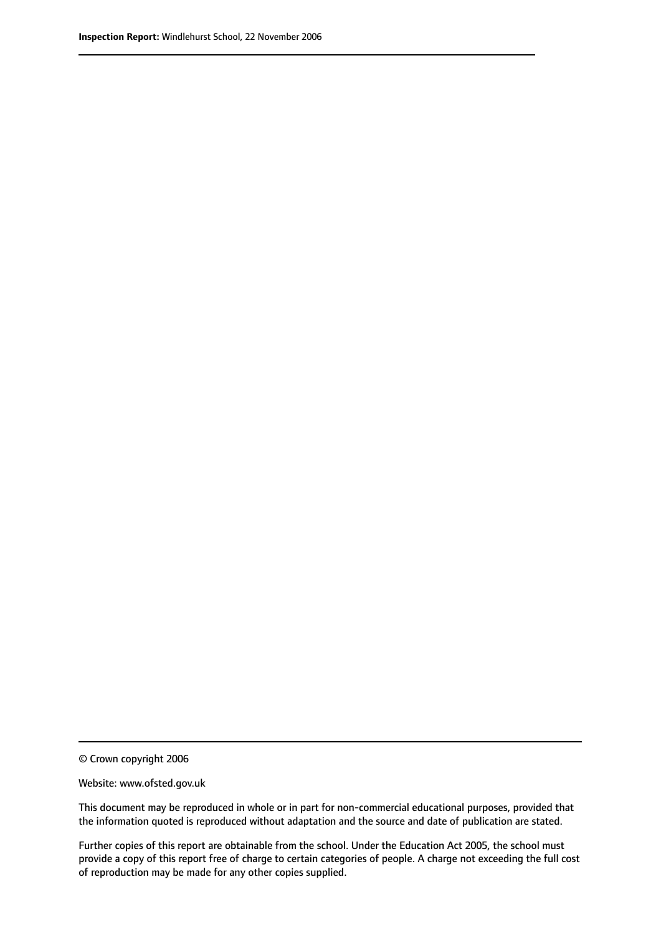© Crown copyright 2006

Website: www.ofsted.gov.uk

This document may be reproduced in whole or in part for non-commercial educational purposes, provided that the information quoted is reproduced without adaptation and the source and date of publication are stated.

Further copies of this report are obtainable from the school. Under the Education Act 2005, the school must provide a copy of this report free of charge to certain categories of people. A charge not exceeding the full cost of reproduction may be made for any other copies supplied.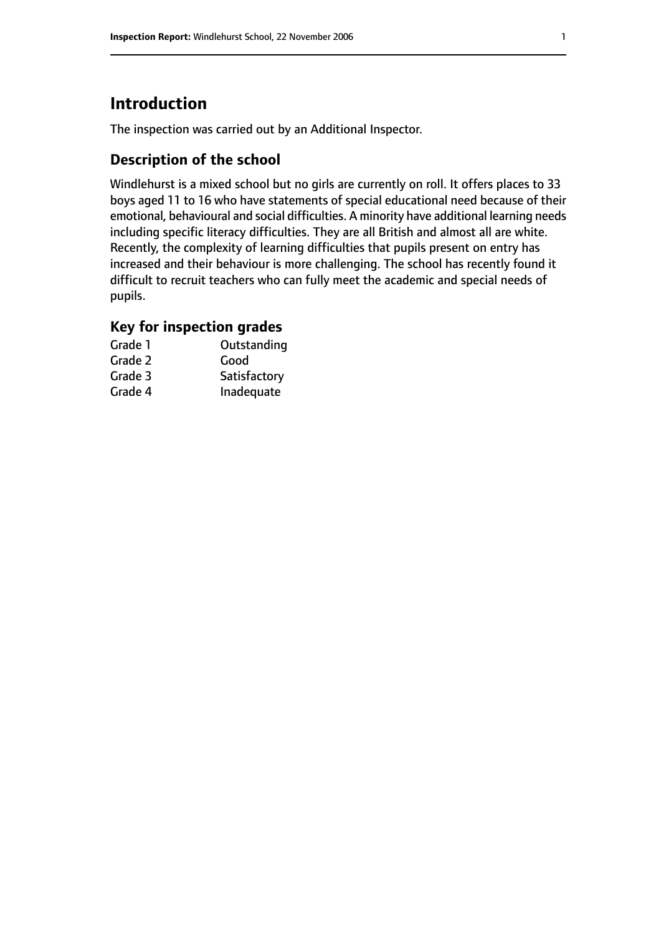# **Introduction**

The inspection was carried out by an Additional Inspector.

## **Description of the school**

Windlehurst is a mixed school but no girls are currently on roll. It offers places to 33 boys aged 11 to 16 who have statements of special educational need because of their emotional, behavioural and social difficulties. A minority have additional learning needs including specific literacy difficulties. They are all British and almost all are white. Recently, the complexity of learning difficulties that pupils present on entry has increased and their behaviour is more challenging. The school has recently found it difficult to recruit teachers who can fully meet the academic and special needs of pupils.

## **Key for inspection grades**

| Grade 1 | Outstanding  |
|---------|--------------|
| Grade 2 | Good         |
| Grade 3 | Satisfactory |
| Grade 4 | Inadequate   |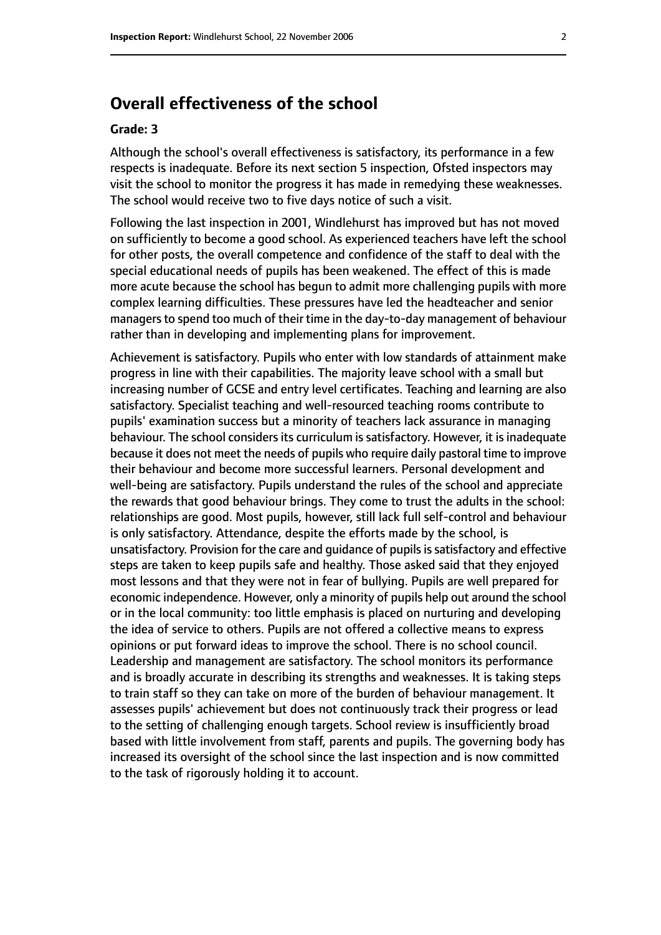# **Overall effectiveness of the school**

#### **Grade: 3**

Although the school's overall effectiveness is satisfactory, its performance in a few respects is inadequate. Before its next section 5 inspection, Ofsted inspectors may visit the school to monitor the progress it has made in remedying these weaknesses. The school would receive two to five days notice of such a visit.

Following the last inspection in 2001, Windlehurst has improved but has not moved on sufficiently to become a good school. As experienced teachers have left the school for other posts, the overall competence and confidence of the staff to deal with the special educational needs of pupils has been weakened. The effect of this is made more acute because the school has begun to admit more challenging pupils with more complex learning difficulties. These pressures have led the headteacher and senior managers to spend too much of their time in the day-to-day management of behaviour rather than in developing and implementing plans for improvement.

Achievement is satisfactory. Pupils who enter with low standards of attainment make progress in line with their capabilities. The majority leave school with a small but increasing number of GCSE and entry level certificates. Teaching and learning are also satisfactory. Specialist teaching and well-resourced teaching rooms contribute to pupils' examination success but a minority of teachers lack assurance in managing behaviour. The school considers its curriculum is satisfactory. However, it is inadequate because it does not meet the needs of pupils who require daily pastoral time to improve their behaviour and become more successful learners. Personal development and well-being are satisfactory. Pupils understand the rules of the school and appreciate the rewards that good behaviour brings. They come to trust the adults in the school: relationships are good. Most pupils, however, still lack full self-control and behaviour is only satisfactory. Attendance, despite the efforts made by the school, is unsatisfactory. Provision for the care and quidance of pupils is satisfactory and effective steps are taken to keep pupils safe and healthy. Those asked said that they enjoyed most lessons and that they were not in fear of bullying. Pupils are well prepared for economic independence. However, only a minority of pupils help out around the school or in the local community: too little emphasis is placed on nurturing and developing the idea of service to others. Pupils are not offered a collective means to express opinions or put forward ideas to improve the school. There is no school council. Leadership and management are satisfactory. The school monitors its performance and is broadly accurate in describing its strengths and weaknesses. It is taking steps to train staff so they can take on more of the burden of behaviour management. It assesses pupils' achievement but does not continuously track their progress or lead to the setting of challenging enough targets. School review is insufficiently broad based with little involvement from staff, parents and pupils. The governing body has increased its oversight of the school since the last inspection and is now committed to the task of rigorously holding it to account.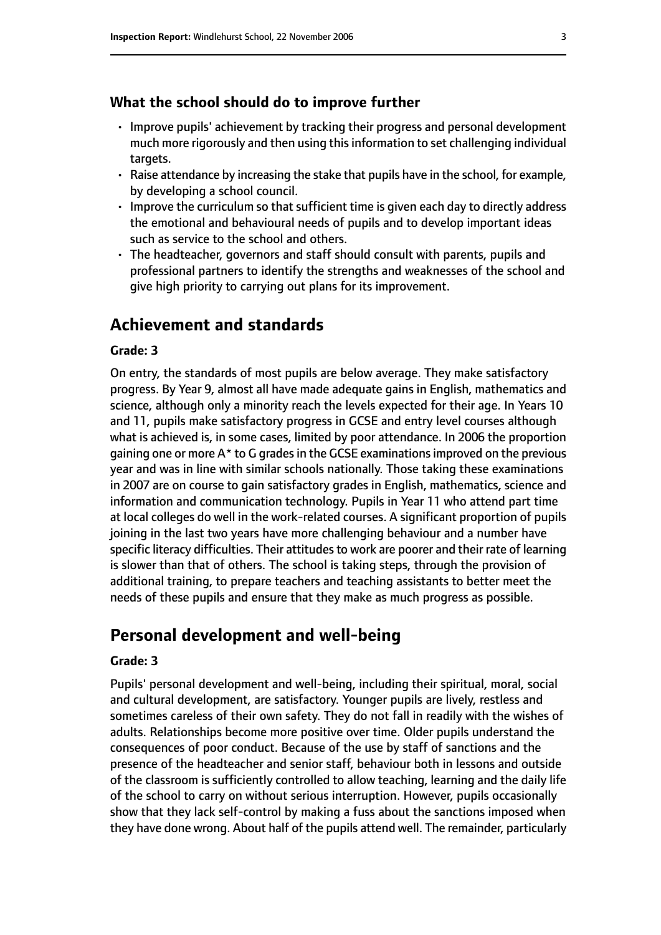#### **What the school should do to improve further**

- Improve pupils' achievement by tracking their progress and personal development much more rigorously and then using this information to set challenging individual targets.
- Raise attendance by increasing the stake that pupils have in the school, for example, by developing a school council.
- Improve the curriculum so that sufficient time is given each day to directly address the emotional and behavioural needs of pupils and to develop important ideas such as service to the school and others.
- The headteacher, governors and staff should consult with parents, pupils and professional partners to identify the strengths and weaknesses of the school and give high priority to carrying out plans for its improvement.

# **Achievement and standards**

#### **Grade: 3**

On entry, the standards of most pupils are below average. They make satisfactory progress. By Year 9, almost all have made adequate gains in English, mathematics and science, although only a minority reach the levels expected for their age. In Years 10 and 11, pupils make satisfactory progress in GCSE and entry level courses although what is achieved is, in some cases, limited by poor attendance. In 2006 the proportion gaining one or more  $A^*$  to G grades in the GCSE examinations improved on the previous year and was in line with similar schools nationally. Those taking these examinations in 2007 are on course to gain satisfactory grades in English, mathematics, science and information and communication technology. Pupils in Year 11 who attend part time at local colleges do well in the work-related courses. A significant proportion of pupils joining in the last two years have more challenging behaviour and a number have specific literacy difficulties. Their attitudes to work are poorer and their rate of learning is slower than that of others. The school is taking steps, through the provision of additional training, to prepare teachers and teaching assistants to better meet the needs of these pupils and ensure that they make as much progress as possible.

# **Personal development and well-being**

#### **Grade: 3**

Pupils' personal development and well-being, including their spiritual, moral, social and cultural development, are satisfactory. Younger pupils are lively, restless and sometimes careless of their own safety. They do not fall in readily with the wishes of adults. Relationships become more positive over time. Older pupils understand the consequences of poor conduct. Because of the use by staff of sanctions and the presence of the headteacher and senior staff, behaviour both in lessons and outside of the classroom is sufficiently controlled to allow teaching, learning and the daily life of the school to carry on without serious interruption. However, pupils occasionally show that they lack self-control by making a fuss about the sanctions imposed when they have done wrong. About half of the pupils attend well. The remainder, particularly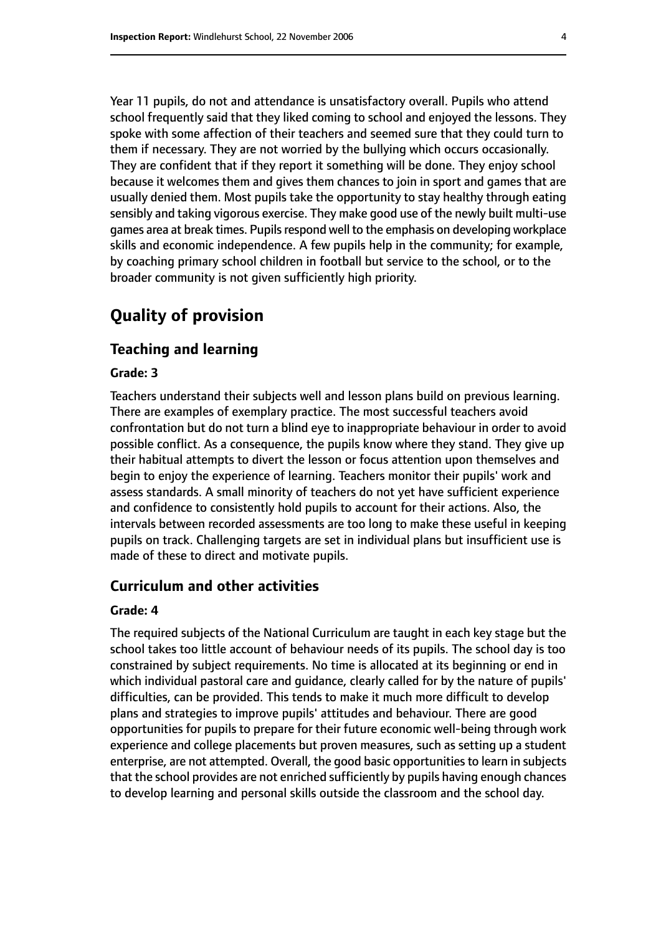Year 11 pupils, do not and attendance is unsatisfactory overall. Pupils who attend school frequently said that they liked coming to school and enjoyed the lessons. They spoke with some affection of their teachers and seemed sure that they could turn to them if necessary. They are not worried by the bullying which occurs occasionally. They are confident that if they report it something will be done. They enjoy school because it welcomes them and gives them chances to join in sport and games that are usually denied them. Most pupils take the opportunity to stay healthy through eating sensibly and taking vigorous exercise. They make good use of the newly built multi-use games area at break times. Pupils respond well to the emphasis on developing workplace skills and economic independence. A few pupils help in the community; for example, by coaching primary school children in football but service to the school, or to the broader community is not given sufficiently high priority.

# **Quality of provision**

#### **Teaching and learning**

#### **Grade: 3**

Teachers understand their subjects well and lesson plans build on previous learning. There are examples of exemplary practice. The most successful teachers avoid confrontation but do not turn a blind eye to inappropriate behaviour in order to avoid possible conflict. As a consequence, the pupils know where they stand. They give up their habitual attempts to divert the lesson or focus attention upon themselves and begin to enjoy the experience of learning. Teachers monitor their pupils' work and assess standards. A small minority of teachers do not yet have sufficient experience and confidence to consistently hold pupils to account for their actions. Also, the intervals between recorded assessments are too long to make these useful in keeping pupils on track. Challenging targets are set in individual plans but insufficient use is made of these to direct and motivate pupils.

### **Curriculum and other activities**

#### **Grade: 4**

The required subjects of the National Curriculum are taught in each key stage but the school takes too little account of behaviour needs of its pupils. The school day is too constrained by subject requirements. No time is allocated at its beginning or end in which individual pastoral care and guidance, clearly called for by the nature of pupils' difficulties, can be provided. This tends to make it much more difficult to develop plans and strategies to improve pupils' attitudes and behaviour. There are good opportunities for pupils to prepare for their future economic well-being through work experience and college placements but proven measures, such as setting up a student enterprise, are not attempted. Overall, the good basic opportunities to learn in subjects that the school provides are not enriched sufficiently by pupils having enough chances to develop learning and personal skills outside the classroom and the school day.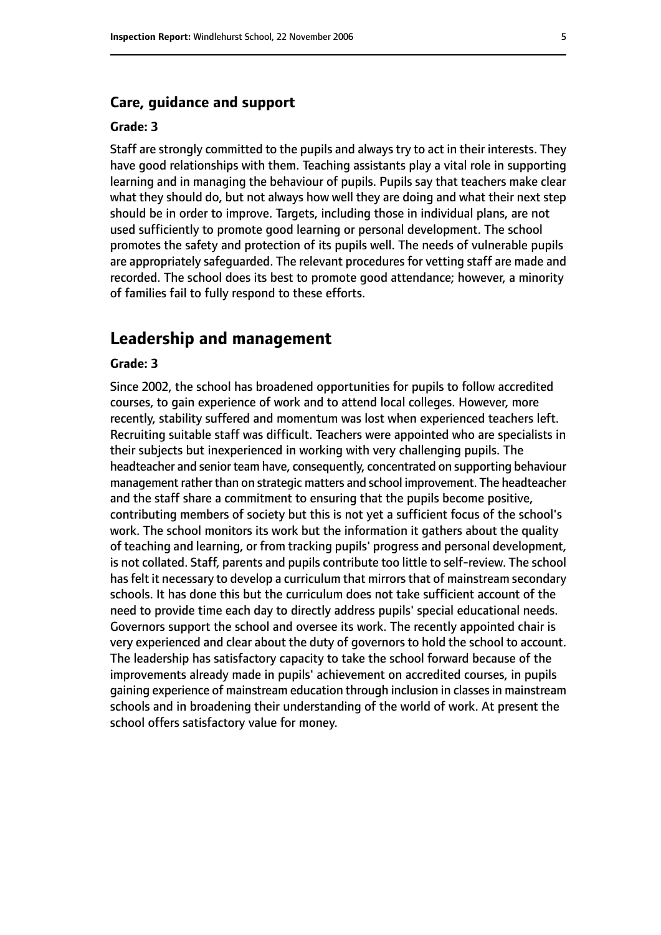#### **Care, guidance and support**

#### **Grade: 3**

Staff are strongly committed to the pupils and always try to act in their interests. They have good relationships with them. Teaching assistants play a vital role in supporting learning and in managing the behaviour of pupils. Pupils say that teachers make clear what they should do, but not always how well they are doing and what their next step should be in order to improve. Targets, including those in individual plans, are not used sufficiently to promote good learning or personal development. The school promotes the safety and protection of its pupils well. The needs of vulnerable pupils are appropriately safeguarded. The relevant procedures for vetting staff are made and recorded. The school does its best to promote good attendance; however, a minority of families fail to fully respond to these efforts.

## **Leadership and management**

#### **Grade: 3**

Since 2002, the school has broadened opportunities for pupils to follow accredited courses, to gain experience of work and to attend local colleges. However, more recently, stability suffered and momentum was lost when experienced teachers left. Recruiting suitable staff was difficult. Teachers were appointed who are specialists in their subjects but inexperienced in working with very challenging pupils. The headteacher and senior team have, consequently, concentrated on supporting behaviour management rather than on strategic matters and school improvement. The headteacher and the staff share a commitment to ensuring that the pupils become positive, contributing members of society but this is not yet a sufficient focus of the school's work. The school monitors its work but the information it gathers about the quality of teaching and learning, or from tracking pupils' progress and personal development, is not collated. Staff, parents and pupils contribute too little to self-review. The school has felt it necessary to develop a curriculum that mirrors that of mainstream secondary schools. It has done this but the curriculum does not take sufficient account of the need to provide time each day to directly address pupils' special educational needs. Governors support the school and oversee its work. The recently appointed chair is very experienced and clear about the duty of governors to hold the school to account. The leadership has satisfactory capacity to take the school forward because of the improvements already made in pupils' achievement on accredited courses, in pupils gaining experience of mainstream education through inclusion in classesin mainstream schools and in broadening their understanding of the world of work. At present the school offers satisfactory value for money.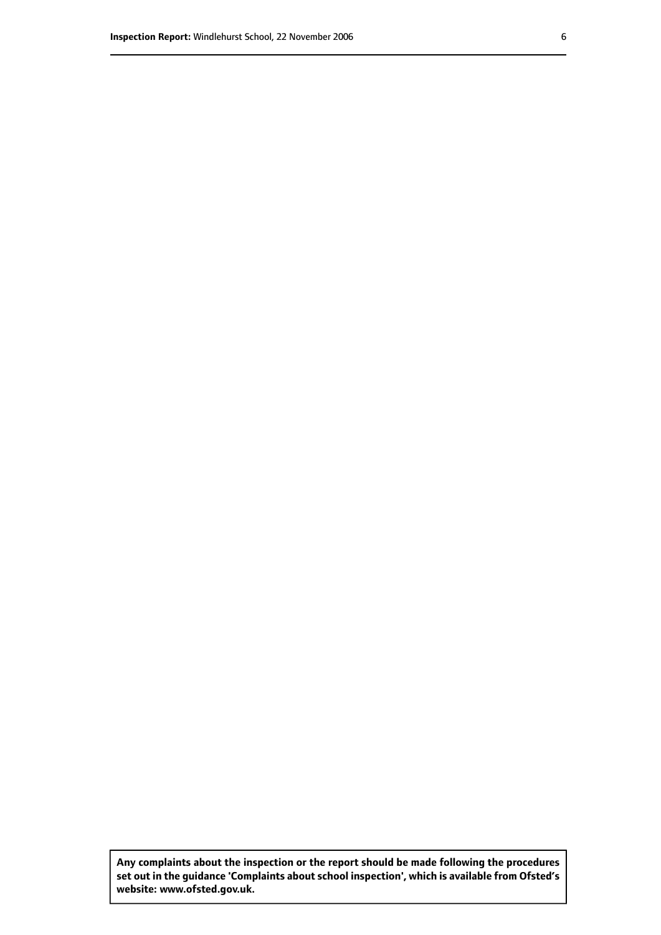**Any complaints about the inspection or the report should be made following the procedures set out inthe guidance 'Complaints about school inspection', whichis available from Ofsted's website: www.ofsted.gov.uk.**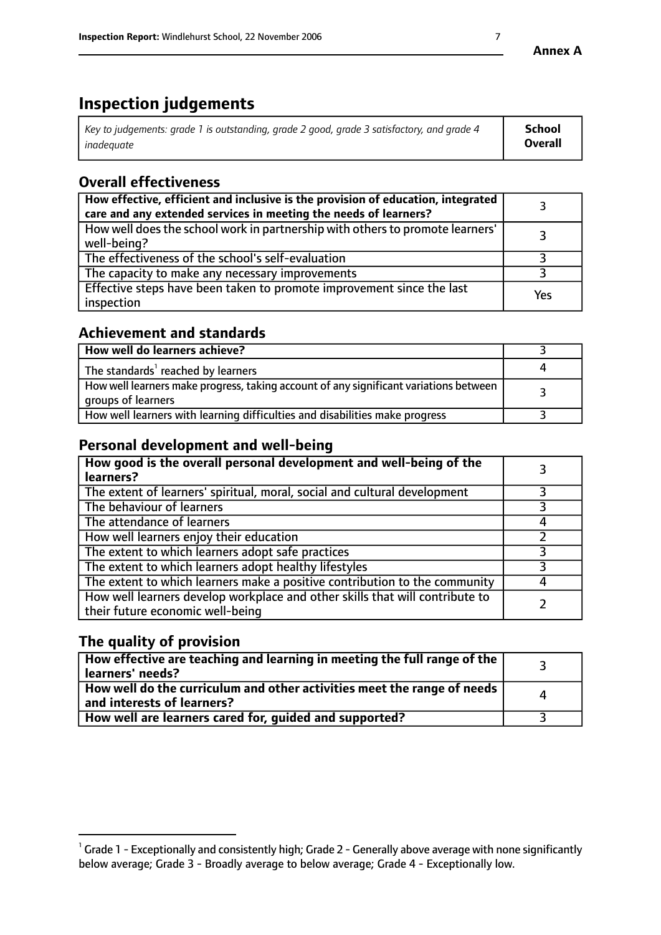# **Inspection judgements**

| $^{\circ}$ Key to judgements: grade 1 is outstanding, grade 2 good, grade 3 satisfactory, and grade 4 $^{\circ}$ | School         |
|------------------------------------------------------------------------------------------------------------------|----------------|
| inadequate                                                                                                       | <b>Overall</b> |

# **Overall effectiveness**

| How effective, efficient and inclusive is the provision of education, integrated<br>care and any extended services in meeting the needs of learners? |     |
|------------------------------------------------------------------------------------------------------------------------------------------------------|-----|
| How well does the school work in partnership with others to promote learners'<br>well-being?                                                         |     |
| The effectiveness of the school's self-evaluation                                                                                                    |     |
| The capacity to make any necessary improvements                                                                                                      |     |
| Effective steps have been taken to promote improvement since the last<br>inspection                                                                  | Yes |

## **Achievement and standards**

| How well do learners achieve?                                                                               |  |
|-------------------------------------------------------------------------------------------------------------|--|
| The standards <sup>1</sup> reached by learners                                                              |  |
| How well learners make progress, taking account of any significant variations between<br>groups of learners |  |
| How well learners with learning difficulties and disabilities make progress                                 |  |

# **Personal development and well-being**

| How good is the overall personal development and well-being of the<br>learners?                                  |  |
|------------------------------------------------------------------------------------------------------------------|--|
| The extent of learners' spiritual, moral, social and cultural development                                        |  |
| The behaviour of learners                                                                                        |  |
| The attendance of learners                                                                                       |  |
| How well learners enjoy their education                                                                          |  |
| The extent to which learners adopt safe practices                                                                |  |
| The extent to which learners adopt healthy lifestyles                                                            |  |
| The extent to which learners make a positive contribution to the community                                       |  |
| How well learners develop workplace and other skills that will contribute to<br>their future economic well-being |  |

# **The quality of provision**

| $\mid$ How effective are teaching and learning in meeting the full range of the $\mid$<br>learners' needs? |   |
|------------------------------------------------------------------------------------------------------------|---|
| How well do the curriculum and other activities meet the range of needs  <br>and interests of learners?    | Δ |
| How well are learners cared for, guided and supported?                                                     |   |

 $^1$  Grade 1 - Exceptionally and consistently high; Grade 2 - Generally above average with none significantly below average; Grade 3 - Broadly average to below average; Grade 4 - Exceptionally low.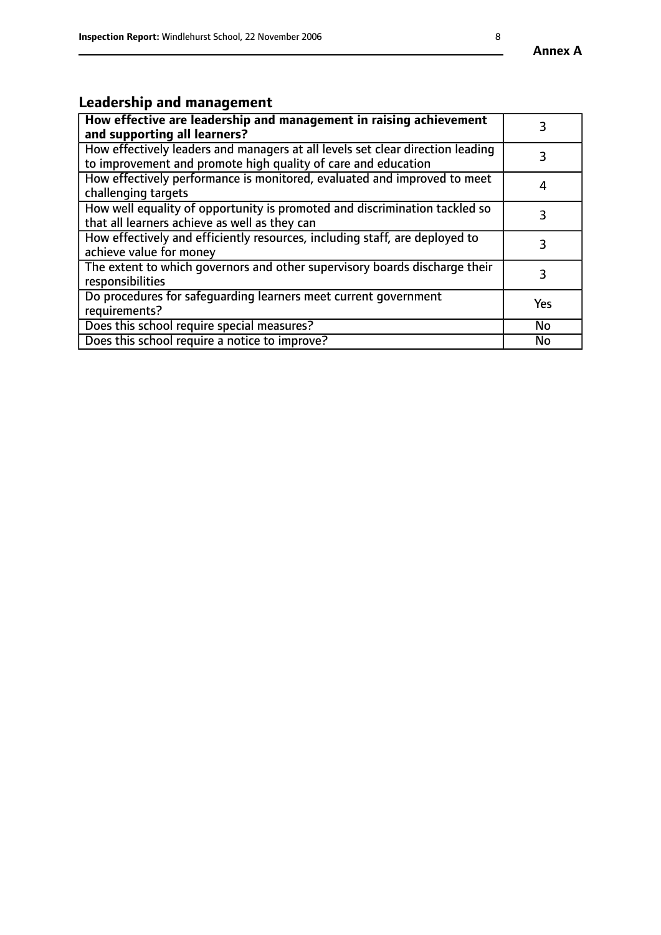# **Leadership and management**

| How effective are leadership and management in raising achievement<br>and supporting all learners?                                              |     |
|-------------------------------------------------------------------------------------------------------------------------------------------------|-----|
| How effectively leaders and managers at all levels set clear direction leading<br>to improvement and promote high quality of care and education |     |
| How effectively performance is monitored, evaluated and improved to meet<br>challenging targets                                                 | 4   |
| How well equality of opportunity is promoted and discrimination tackled so<br>that all learners achieve as well as they can                     |     |
| How effectively and efficiently resources, including staff, are deployed to<br>achieve value for money                                          | З   |
| The extent to which governors and other supervisory boards discharge their<br>responsibilities                                                  | 3   |
| Do procedures for safequarding learners meet current government<br>requirements?                                                                | Yes |
| Does this school require special measures?                                                                                                      | No  |
| Does this school require a notice to improve?                                                                                                   | No  |